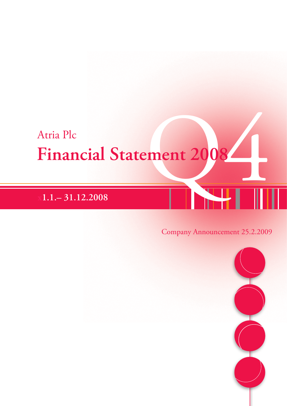# Atria Plc<br>Financial Statement 2008 **Financial Statement 2008**

# **x1.1.– 31.12.2008**

# Company Announcement 25.2.2009

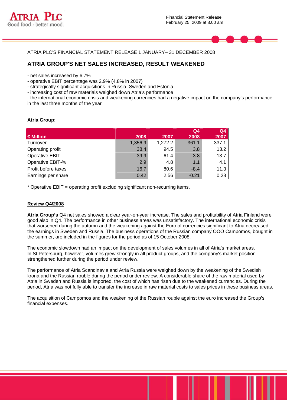



ATRIA PLC'S FINANCIAL STATEMENT RELEASE 1 JANUARY– 31 DECEMBER 2008

# **ATRIA GROUP'S NET SALES INCREASED, RESULT WEAKENED**

- net sales increased by 6.7%

- operative EBIT percentage was 2.9% (4.8% in 2007)
- strategically significant acquisitions in Russia, Sweden and Estonia
- increasing cost of raw materials weighed down Atria's performance

- the international economic crisis and weakening currencies had a negative impact on the company's performance in the last three months of the year

# **Atria Group:**

|                         |         |         | Q <sub>4</sub> | Q <sub>4</sub> |
|-------------------------|---------|---------|----------------|----------------|
| €Million                | 2008    | 2007    | 2008           | 2007           |
| Turnover                | 1,356.9 | 1,272.2 | 361.1          | 337.1          |
| <b>Operating profit</b> | 38.4    | 94.5    | 3.8            | 13.2           |
| <b>Operative EBIT</b>   | 39.9    | 61.4    | 3.8            | 13.7           |
| Operative EBIT-%        | 2.9     | 4.8     | 1.1            | 4.1            |
| Profit before taxes     | 16.7    | 80.6    | $-8.4$         | 11.3           |
| Earnings per share      | 0.42    | 2.56    | $-0.21$        | 0.28           |

\* Operative EBIT = operating profit excluding significant non-recurring items.

#### **Review Q4/2008**

**Atria Group's** Q4 net sales showed a clear year-on-year increase. The sales and profitability of Atria Finland were good also in Q4. The performance in other business areas was unsatisfactory. The international economic crisis that worsened during the autumn and the weakening against the Euro of currencies significant to Atria decreased the earnings in Sweden and Russia. The business operations of the Russian company OOO Campomos, bought in the summer, are included in the figures for the period as of 15 October 2008.

The economic slowdown had an impact on the development of sales volumes in all of Atria's market areas. In St Petersburg, however, volumes grew strongly in all product groups, and the company's market position strengthened further during the period under review.

The performance of Atria Scandinavia and Atria Russia were weighed down by the weakening of the Swedish krona and the Russian rouble during the period under review. A considerable share of the raw material used by Atria in Sweden and Russia is imported, the cost of which has risen due to the weakened currencies. During the period, Atria was not fully able to transfer the increase in raw material costs to sales prices in these business areas.

The acquisition of Campomos and the weakening of the Russian rouble against the euro increased the Group's financial expenses.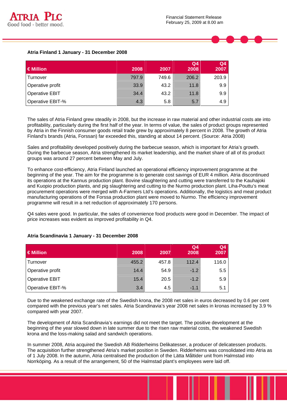



|                       |       |       | Q <sub>4</sub> | Q <sub>4</sub> |
|-----------------------|-------|-------|----------------|----------------|
| $\in$ Million         | 2008  | 2007  | 2008           | 2007           |
| Turnover              | 797.9 | 749.6 | 206.2          | 203.9          |
| Operative profit      | 33.9  | 43.2  | 11.8           | 9.9            |
| <b>Operative EBIT</b> | 34.4  | 43.2  | 11.8           | 9.9            |
| Operative EBIT-%      | 4.3   | 5.8   | 5.7            | 4.9            |

The sales of Atria Finland grew steadily in 2008, but the increase in raw material and other industrial costs ate into profitability, particularly during the first half of the year. In terms of value, the sales of product groups represented by Atria in the Finnish consumer goods retail trade grew by approximately 8 percent in 2008. The growth of Atria Finland's brands (Atria, Forssan) far exceeded this, standing at about 14 percent. (Source: Atria 2008)

Sales and profitability developed positively during the barbecue season, which is important for Atria's growth. During the barbecue season, Atria strengthened its market leadership, and the market share of all of its product groups was around 27 percent between May and July.

To enhance cost-efficiency, Atria Finland launched an operational efficiency improvement programme at the beginning of the year. The aim for the programme is to generate cost savings of EUR 4 million. Atria discontinued its operations at the Kannus production plant. Bovine slaughtering and cutting were transferred to the Kauhajoki and Kuopio production plants, and pig slaughtering and cutting to the Nurmo production plant. Liha-Pouttu's meat procurement operations were merged with A-Farmers Ltd's operations. Additionally, the logistics and meat product manufacturing operations of the Forssa production plant were moved to Nurmo. The efficiency improvement programme will result in a net reduction of approximately 170 persons.

Q4 sales were good. In particular, the sales of convenience food products were good in December. The impact of price increases was evident as improved profitability in Q4.

| $\in$ Million         | 2008  | 2007  | Q <sub>4</sub><br>2008 | Q <sub>4</sub><br>2007 |
|-----------------------|-------|-------|------------------------|------------------------|
| l Turnover            | 455.2 | 457.8 | 112.4                  | 116.0                  |
| Operative profit      | 14.4  | 54.9  | $-1.2$                 | 5.5                    |
| <b>Operative EBIT</b> | 15.4  | 20.5  | $-1.2$                 | 5.9                    |
| Operative EBIT-%      | 3.4   | 4.5   | $-1.1$                 | 5.1                    |

# **Atria Scandinavia 1 January - 31 December 2008**

Due to the weakened exchange rate of the Swedish krona, the 2008 net sales in euros decreased by 0.6 per cent compared with the previous year's net sales. Atria Scandinavia's year 2008 net sales in kronas increased by 3.9 % compared with year 2007.

The development of Atria Scandinavia's earnings did not meet the target. The positive development at the beginning of the year slowed down in late summer due to the risen raw material costs, the weakened Swedish krona and the loss-making salad and sandwich operations.

In summer 2008, Atria acquired the Swedish AB Ridderheims Delikatesser, a producer of delicatessen products. The acquisition further strengthened Atria's market position in Sweden. Ridderheims was consolidated into Atria as of 1 July 2008. In the autumn, Atria centralised the production of the Lätta Måltider unit from Halmstad into Norrköping. As a result of the arrangement, 50 of the Halmstad plant's employees were laid off.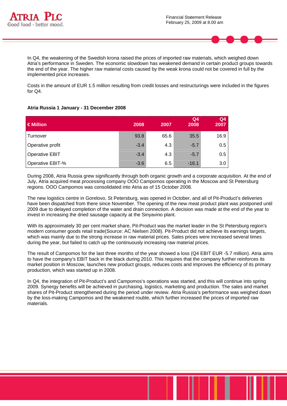



In Q4, the weakening of the Swedish krona raised the prices of imported raw materials, which weighed down Atria's performance in Sweden. The economic slowdown has weakened demand in certain product groups towards the end of the year. The higher raw material costs caused by the weak krona could not be covered in full by the implemented price increases.

Costs in the amount of EUR 1.5 million resulting from credit losses and restructurings were included in the figures for Q4.

# **Atria Russia 1 January - 31 December 2008**

| $\in$ Million         | 2008   | 2007 | Q <sub>4</sub><br>2008 | Q <sub>4</sub><br>2007 |
|-----------------------|--------|------|------------------------|------------------------|
| Turnover              | 93.8   | 65.6 | 35.5                   | 16.9                   |
| Operative profit      | $-3.4$ | 4.3  | $-5.7$                 | 0.5                    |
| <b>Operative EBIT</b> | $-3.4$ | 4.3  | $-5.7$                 | 0.5                    |
| Operative EBIT-%      | $-3.6$ | 6.5  | $-16.1$                | 3.0                    |

During 2008, Atria Russia grew significantly through both organic growth and a corporate acquisition. At the end of July, Atria acquired meat processing company OOO Campomos operating in the Moscow and St Petersburg regions. OOO Campomos was consolidated into Atria as of 15 October 2008.

The new logistics centre in Gorelovo, St Petersburg, was opened in October, and all of Pit-Product's deliveries have been dispatched from there since November. The opening of the new meat product plant was postponed until 2009 due to delayed completion of the water and drain connection. A decision was made at the end of the year to invest in increasing the dried sausage capacity at the Sinyavino plant.

With its approximately 30 per cent market share. Pit-Product was the market leader in the St Petersburg region's modern consumer goods retail trade(Source: AC Nielsen 2008). Pit-Product did not achieve its earnings targets, which was mainly due to the strong increase in raw material prices. Sales prices were increased several times during the year, but failed to catch up the continuously increasing raw material prices.

The result of Campomos for the last three months of the year showed a loss (Q4 EBIT EUR -5.7 million). Atria aims to have the company's EBIT back in the black during 2010. This requires that the company further reinforces its market position in Moscow, launches new product groups, reduces costs and improves the efficiency of its primary production, which was started up in 2008.

In Q4, the integration of Pit-Product's and Campomos's operations was started, and this will continue into spring 2009. Synergy benefits will be achieved in purchasing, logistics, marketing and production. The sales and market shares of Pit-Product strengthened during the period under review. Atria Russia's performance was weighed down by the loss-making Campomos and the weakened rouble, which further increased the prices of imported raw materials.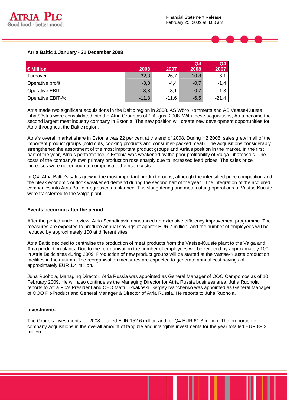



|                       |         |         | Q <sub>4</sub> | Q <sub>4</sub> |
|-----------------------|---------|---------|----------------|----------------|
| $\in$ Million         | 2008    | 2007    | 2008           | 2007           |
| Turnover              | 32,3    | 26,7    | 10,8           | 6,1            |
| Operative profit      | $-3,8$  | $-4,4$  | $-0,7$         | $-1,4$         |
| <b>Operative EBIT</b> | $-3,8$  | $-3,1$  | $-0,7$         | $-1,3$         |
| Operative EBIT-%      | $-11,8$ | $-11.6$ | $-6,5$         | $-21,4$        |

Atria made two significant acquisitions in the Baltic region in 2008. AS Wõro Kommerts and AS Vastse-Kuuste Lihatööstus were consolidated into the Atria Group as of 1 August 2008. With these acquisitions, Atria became the second largest meat industry company in Estonia. The new position will create new development opportunities for Atria throughout the Baltic region.

Atria's overall market share in Estonia was 22 per cent at the end of 2008. During H2 2008, sales grew in all of the important product groups (cold cuts, cooking products and consumer-packed meat). The acquisitions considerably strengthened the assortment of the most important product groups and Atria's position in the market. In the first part of the year, Atria's performance in Estonia was weakened by the poor profitability of Valga Lihatööstus. The costs of the company's own primary production rose sharply due to increased feed prices. The sales price increases were not enough to compensate the risen costs.

In Q4, Atria Baltic's sales grew in the most important product groups, although the intensified price competition and the bleak economic outlook weakened demand during the second half of the year. The integration of the acquired companies into Atria Baltic progressed as planned. The slaughtering and meat cutting operations of Vastse-Kuuste were transferred to the Valga plant.

#### **Events occurring after the period**

After the period under review, Atria Scandinavia announced an extensive efficiency improvement programme. The measures are expected to produce annual savings of approx EUR 7 million, and the number of employees will be reduced by approximately 100 at different sites.

Atria Baltic decided to centralise the production of meat products from the Vastse-Kuuste plant to the Valga and Ahja production plants. Due to the reorganisation the number of employees will be reduced by approximately 100 in Atria Baltic sites during 2009. Production of new product groups will be started at the Vastse-Kuuste production facilities in the autumn. The reorganisation measures are expected to generate annual cost savings of approximately EUR 1.4 million.

Juha Ruohola, Managing Director, Atria Russia was appointed as General Manager of OOO Campomos as of 10 February 2009. He will also continue as the Managing Director for Atria Russia business area. Juha Ruohola reports to Atria Plc's President and CEO Matti Tikkakoski. Sergey Ivanchenko was appointed as General Manager of OOO Pit-Product and General Manager & Director of Atria Russia. He reports to Juha Ruohola.

#### **Investments**

The Group's investments for 2008 totalled EUR 152.6 million and for Q4 EUR 61.3 million. The proportion of company acquisitions in the overall amount of tangible and intangible investments for the year totalled EUR 89.3 million.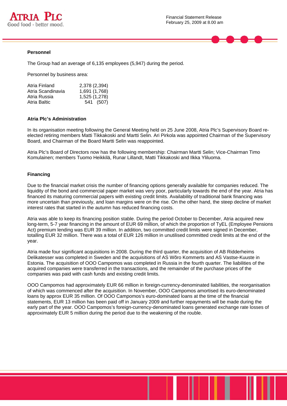



The Group had an average of 6,135 employees (5,947) during the period.

Personnel by business area:

| Atria Finland     | 2,378 (2,394) |
|-------------------|---------------|
| Atria Scandinavia | 1,691 (1,768) |
| Atria Russia      | 1,525 (1,278) |
| Atria Baltic      | 541 (507)     |

#### **Atria Plc's Administration**

In its organisation meeting following the General Meeting held on 25 June 2008, Atria Plc's Supervisory Board reelected retiring members Matti Tikkakoski and Martti Selin. Ari Pirkola was appointed Chairman of the Supervisory Board, and Chairman of the Board Martti Selin was reappointed.

Atria Plc's Board of Directors now has the following membership: Chairman Martti Selin; Vice-Chairman Timo Komulainen; members Tuomo Heikkilä, Runar Lillandt, Matti Tikkakoski and Ilkka Yliluoma.

#### **Financing**

Due to the financial market crisis the number of financing options generally available for companies reduced. The liquidity of the bond and commercial paper market was very poor, particularly towards the end of the year. Atria has financed its maturing commercial papers with existing credit limits. Availability of traditional bank financing was more uncertain than previously, and loan margins were on the rise. On the other hand, the steep decline of market interest rates that started in the autumn has reduced financing costs.

Atria was able to keep its financing position stable. During the period October to December, Atria acquired new long-term, 5-7 year financing in the amount of EUR 69 million, of which the proportion of TyEL (Employee Pensions Act) premium lending was EUR 39 million. In addition, two committed credit limits were signed in December, totalling EUR 32 million. There was a total of EUR 126 million in unutilised committed credit limits at the end of the year.

Atria made four significant acquisitions in 2008. During the third quarter, the acquisition of AB Ridderheims Delikatesser was completed in Sweden and the acquisitions of AS Wõro Kommerts and AS Vastse-Kuuste in Estonia. The acquisition of OOO Campomos was completed in Russia in the fourth quarter. The liabilities of the acquired companies were transferred in the transactions, and the remainder of the purchase prices of the companies was paid with cash funds and existing credit limits.

OOO Campomos had approximately EUR 66 million in foreign-currency-denominated liabilities, the reorganisation of which was commenced after the acquisition. In November, OOO Campomos amortised its euro-denominated loans by approx EUR 35 million. Of OOO Campomos's euro-dominated loans at the time of the financial statements, EUR 13 million has been paid off in January 2009 and further repayments will be made during the early part of the year. OOO Campomos's foreign-currency-denominated loans generated exchange rate losses of approximately EUR 5 million during the period due to the weakening of the rouble.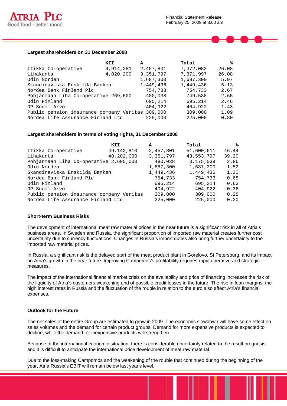

#### **Largest shareholders on 31 December 2008**

|                                          | KII       | A         | Total     | ℁     |
|------------------------------------------|-----------|-----------|-----------|-------|
| Itikka Co-operative                      | 4,914,281 | 2,457,801 | 7,372,082 | 26.08 |
| Lihakunta                                | 4,020,200 | 3,351,797 | 7,371,997 | 26.08 |
| Odin Norden                              |           | 1,687,300 | 1,687,300 | 5.97  |
| Skandinaviska Enskilda Banken            |           | 1,449,436 | 1,449,436 | 5.13  |
| Nordea Bank Finland Plc                  |           | 754,733   | 754,733   | 2.67  |
| Pohjanmaan Liha Co-operative 269,500     |           | 480,038   | 749,538   | 2.65  |
| Odin Finland                             |           | 695,214   | 695,214   | 2.46  |
| OP-Suomi Arvo                            |           | 404,922   | 404,922   | 1.43  |
| Public pension insurance company Veritas |           | 309,000   | 309,000   | 1.09  |
| Nordea Life Assurance Finland Ltd        |           | 225,000   | 225,000   | 0.80  |

#### **Largest shareholders in terms of voting rights, 31 December 2008**

|                                          | KII          | A         | Total       | ℁     |
|------------------------------------------|--------------|-----------|-------------|-------|
| Itikka Co-operative                      | 49, 142, 810 | 2,457,801 | 51,600,611  | 46.44 |
| Lihakunta                                | 40,202,000   | 3,351,797 | 43,553,797  | 39.20 |
| Pohjanmaan Liha Co-operative 2,695,000   |              | 480,038   | 3, 175, 038 | 2.86  |
| Odin Norden                              |              | 1,687,300 | 1,687,300   | 1.52  |
| Skandinaviska Enskilda Banken            |              | 1,449,436 | 1,449,436   | 1.30  |
| Nordea Bank Finland Plc                  |              | 754,733   | 754,733     | 0.68  |
| Odin Finland                             |              | 695,214   | 695,214     | 0.63  |
| OP-Suomi Arvo                            |              | 404,922   | 404,922     | 0.36  |
| Public pension insurance company Veritas |              | 309,000   | 309,000     | 0.28  |
| Nordea Life Assurance Finland Ltd        |              | 225,000   | 225,000     | 0.20  |

#### **Short-term Business Risks**

The development of international meat raw material prices in the near future is a significant risk in all of Atria's business areas. In Sweden and Russia, the significant proportion of imported raw material creates further cost uncertainty due to currency fluctuations. Changes in Russia's import duties also bring further uncertainty to the imported raw material prices.

In Russia, a significant risk is the delayed start of the meat product plant in Gorelovo, St Petersburg, and its impact on Atria's growth in the near future. Improving Campomos's profitability requires rapid operative and strategic measures.

The impact of the international financial market crisis on the availability and price of financing increases the risk of the liquidity of Atria's customers weakening and of possible credit losses in the future. The rise in loan margins, the high interest rates in Russia and the fluctuation of the rouble in relation to the euro also affect Atria's financial expenses.

#### **Outlook for the Future**

The net sales of the entire Group are estimated to grow in 2009. The economic slowdown will have some effect on sales volumes and the demand for certain product groups. Demand for more expensive products is expected to decline, while the demand for inexpensive products will strengthen.

Because of the international economic situation, there is considerable uncertainty related to the result prognosis, and it is difficult to anticipate the international price development of meat raw material.

Due to the loss-making Campomos and the weakening of the rouble that continued during the beginning of the year, Atria Russia's EBIT will remain below last year's level.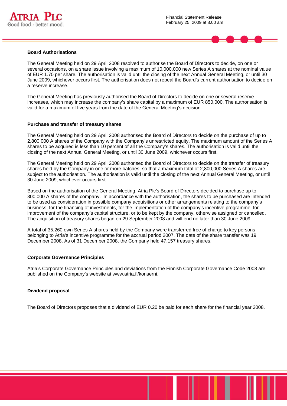



The General Meeting held on 29 April 2008 resolved to authorise the Board of Directors to decide, on one or several occasions, on a share issue involving a maximum of 10,000,000 new Series A shares at the nominal value of EUR 1.70 per share. The authorisation is valid until the closing of the next Annual General Meeting, or until 30 June 2009, whichever occurs first. The authorisation does not repeal the Board's current authorisation to decide on a reserve increase.

The General Meeting has previously authorised the Board of Directors to decide on one or several reserve increases, which may increase the company's share capital by a maximum of EUR 850,000. The authorisation is valid for a maximum of five years from the date of the General Meeting's decision.

#### **Purchase and transfer of treasury shares**

The General Meeting held on 29 April 2008 authorised the Board of Directors to decide on the purchase of up to 2,800,000 A shares of the Company with the Company's unrestricted equity. The maximum amount of the Series A shares to be acquired is less than 10 percent of all the Company's shares. The authorisation is valid until the closing of the next Annual General Meeting, or until 30 June 2009, whichever occurs first.

The General Meeting held on 29 April 2008 authorised the Board of Directors to decide on the transfer of treasury shares held by the Company in one or more batches, so that a maximum total of 2,800,000 Series A shares are subject to the authorisation. The authorisation is valid until the closing of the next Annual General Meeting, or until 30 June 2009, whichever occurs first.

Based on the authorisation of the General Meeting, Atria Plc's Board of Directors decided to purchase up to 300,000 A shares of the company. In accordance with the authorisation, the shares to be purchased are intended to be used as consideration in possible company acquisitions or other arrangements relating to the company's business, for the financing of investments, for the implementation of the company's incentive programme, for improvement of the company's capital structure, or to be kept by the company, otherwise assigned or cancelled. The acquisition of treasury shares began on 29 September 2008 and will end no later than 30 June 2009.

A total of 35,260 own Series A shares held by the Company were transferred free of charge to key persons belonging to Atria's incentive programme for the accrual period 2007. The date of the share transfer was 19 December 2008. As of 31 December 2008, the Company held 47,157 treasury shares.

#### **Corporate Governance Principles**

Atria's Corporate Governance Principles and deviations from the Finnish Corporate Governance Code 2008 are published on the Company's website at www.atria.fi/konserni.

#### **Dividend proposal**

The Board of Directors proposes that a dividend of EUR 0.20 be paid for each share for the financial year 2008.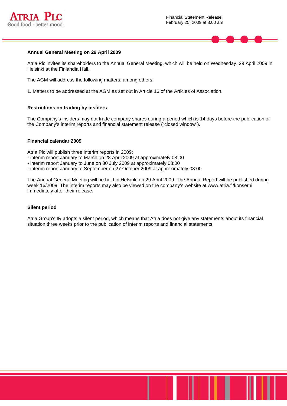



### **Annual General Meeting on 29 April 2009**

Atria Plc invites its shareholders to the Annual General Meeting, which will be held on Wednesday, 29 April 2009 in Helsinki at the Finlandia Hall.

The AGM will address the following matters, among others:

1. Matters to be addressed at the AGM as set out in Article 16 of the Articles of Association.

#### **Restrictions on trading by insiders**

The Company's insiders may not trade company shares during a period which is 14 days before the publication of the Company's interim reports and financial statement release ("closed window").

#### **Financial calendar 2009**

Atria Plc will publish three interim reports in 2009:

- interim report January to March on 28 April 2009 at approximately 08:00
- interim report January to June on 30 July 2009 at approximately 08:00
- interim report January to September on 27 October 2009 at approximately 08:00.

The Annual General Meeting will be held in Helsinki on 29 April 2009. The Annual Report will be published during week 16/2009. The interim reports may also be viewed on the company's website at www.atria.fi/konserni immediately after their release.

#### **Silent period**

Atria Group's IR adopts a silent period, which means that Atria does not give any statements about its financial situation three weeks prior to the publication of interim reports and financial statements.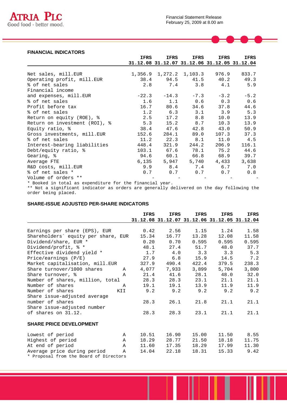

# **FINANCIAL INDICATORS**

|                                                          | IFRS    | IFRS                    | IFRS      | IFRS                                         | IFRS   |
|----------------------------------------------------------|---------|-------------------------|-----------|----------------------------------------------|--------|
|                                                          |         |                         |           | 31.12.08 31.12.07 31.12.06 31.12.05 31.12.04 |        |
|                                                          |         |                         |           |                                              |        |
| Net sales, mill.EUR                                      |         | 1,356.9 1,272.2 1,103.3 |           | 976.9                                        | 833.7  |
| Operating profit, mill.EUR                               |         | 38.4 94.5 41.5          |           | 40.2                                         | 49.3   |
| % of net sales                                           | 2.8     |                         | $7.4$ 3.8 | 4.1                                          | 5.9    |
| Financial income                                         |         |                         |           |                                              |        |
| and expenses, mill.EUR                                   | $-22.3$ | $-14.3$                 | $-7.3$    | $-3.2$                                       | $-5.2$ |
| % of net sales                                           | 1.6     | 1.1                     |           | $0.6$ 0.3                                    | 0.6    |
| Profit before tax                                        |         | 16.7 80.6 34.6          |           | 37.8                                         | 44.6   |
| % of net sales                                           |         |                         |           | $1.2$ 6.3 3.1 3.9                            | 5.3    |
| Return on equity (ROE), %                                | 2.5     | 17.2                    | 8.8       | 10.0                                         | 13.9   |
| Return on investment (ROI), %                            | 5.3     | 15.2                    | 8.7       | 10.3                                         | 13.9   |
| Equity ratio, %                                          | 38.4    | 47.6                    | 42.8      | 43.0                                         | 50.9   |
| Gross investments, mill.EUR                              | 152.6   | 284.1                   | 89.0      | 107.3                                        | 37.3   |
| % of net sales                                           | 11.2    | 22.3                    | 8.1       | 11.0                                         | 4.5    |
| Interest-bearing liabilities                             | 448.4   | 321.9                   | 244.2     | 206.9                                        | 116.1  |
| Debt/equity ratio, %                                     |         | 103.1 67.6              | 78.1      | 75.2                                         | 44.6   |
| Gearing, %                                               |         | 94.6 60.1               | 66.8      | 68.9                                         | 39.7   |
| Average FTE                                              | 6,135   | 5,947                   | 5,740     | 4,433                                        | 3,638  |
| R&D costs, mill.EUR                                      | 9.9     | 8.4                     | 7.4       | 6.7                                          | 7.0    |
| % of net sales *                                         | 0.7     | 0.7                     | 0.7       | 0.7                                          | 0.8    |
| Volume of orders **                                      |         |                         |           |                                              |        |
| * Booked in total as expenditure for the financial year. |         |                         |           |                                              |        |

\*\* Not a significant indicator as orders are generally delivered on the day following the order being placed.

# **SHARE-ISSUE ADJUSTED PER-SHARE INDICATORS**

|                                                                                                                                                 | <b>IFRS</b> | <b>IFRS</b> | <b>IFRS</b> | <b>IFRS</b>                                  | IFRS  |
|-------------------------------------------------------------------------------------------------------------------------------------------------|-------------|-------------|-------------|----------------------------------------------|-------|
|                                                                                                                                                 |             |             |             | 31.12.08 31.12.07 31.12.06 31.12.05 31.12.04 |       |
|                                                                                                                                                 |             |             |             |                                              |       |
| Earnings per share (EPS), EUR                                                                                                                   | 0.42        | 2.56        | 1.15        | 1.24                                         | 1.58  |
| Shareholders' equity per share, EUR                                                                                                             | 15.34       | 16.77       | 13.28       | 12.08                                        | 11.58 |
| Dividend/share, EUR *                                                                                                                           | 0.20        | 0.70        | 0.595       | 0.595                                        | 0.595 |
| Dividend/profit, % *                                                                                                                            | 48.1        | 27.4        | 51.7        | 48.0                                         | 37.7  |
| Effective dividend yield *                                                                                                                      | 1.7         | 4.0         | 3.3         | 3.3                                          | 5.3   |
| Price/earnings (P/E)                                                                                                                            | 27.9        | 6.8         | 15.9        | 14.5                                         | 7.2   |
| Market capitalisation, mill.EUR                                                                                                                 | 327.9       | 490.4       | 422.4       | 379.5                                        | 238.3 |
| Share turnover/1000 shares<br>A                                                                                                                 | 4,077       | 7,933       | 3,899       | 5,704                                        | 3,800 |
| Share turnover, %<br>A                                                                                                                          | 21.4        | 41.6        | 28.1        | 48.0                                         | 32.0  |
| Number of shares, million, total                                                                                                                | 28.3        | 28.3        | 23.1        | 21.1                                         | 21.1  |
| Number of shares<br>$\mathsf{A}$                                                                                                                | 19.1        | 19.1        | 13.9        | 11.9                                         | 11.9  |
| Number of shares<br>KII                                                                                                                         | 9.2         | 9.2         | 9.2         | 9.2                                          | 9.2   |
| Share issue-adjusted average                                                                                                                    |             |             |             |                                              |       |
| number of shares                                                                                                                                | 28.3        | 26.1        | 21.8        | 21.1                                         | 21.1  |
| Share issue-adjusted number                                                                                                                     |             |             |             |                                              |       |
| of shares on 31.12.                                                                                                                             | 28.3        | 28.3        | 23.1        | 21.1                                         | 21.1  |
| <b>SHARE PRICE DEVELOPMENT</b>                                                                                                                  |             |             |             |                                              |       |
|                                                                                                                                                 |             |             |             |                                              |       |
| Lowest of period<br>$\mathbb A$                                                                                                                 | 10.51       | 16.90       | 15.00       | 11.50                                        | 8.55  |
| Highest of period<br>$\mathbb A$                                                                                                                | 18.29       | 28.77       | 21.50       | 18.18                                        | 11.75 |
| At end of period<br>$\mathbb A$                                                                                                                 | 11.60       | 17.35       | 18.29       | 17.99                                        | 11.30 |
| Average price during period<br>Α<br>$\mathbf{r}$ , and $\mathbf{r}$ , and $\mathbf{r}$ , and $\mathbf{r}$ , and $\mathbf{r}$ , and $\mathbf{r}$ | 14.04       | 22.18       | 18.31       | 15.33                                        | 9.42  |

\* Proposal from the Board of Directors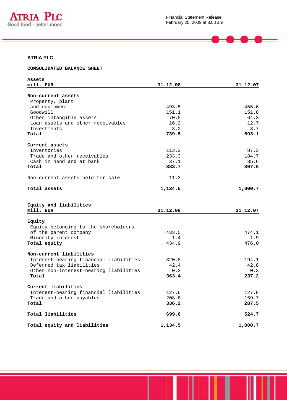

 $\qquad \qquad \blacksquare$ 

# **ATRIA PLC**

#### **CONSOLIDATED BALANCE SHEET**

| Assets                                 |          |          |
|----------------------------------------|----------|----------|
| mill. EUR                              | 31.12.08 | 31.12.07 |
|                                        |          |          |
| Non-current assets                     |          |          |
| Property, plant                        |          |          |
| and equipment                          | 493.5    | 455.6    |
| Goodwill                               | 151.1    | 151.8    |
| Other intangible assets                | 70.5     | 64.3     |
| Loan assets and other receivables      | 16.2     | 12.7     |
| Investments                            | 8.2      | 8.7      |
| Total                                  | 739.5    | 693.1    |
|                                        |          |          |
| Current assets                         |          |          |
| Inventories                            | 113.3    | 87.3     |
| Trade and other receivables            | 233.3    | 184.7    |
| Cash in hand and at bank               | 37.1     | 35.6     |
| Total                                  | 383.7    | 307.6    |
|                                        |          |          |
| Non-current assets held for sale       | 11.3     |          |
|                                        |          |          |
| Total assets                           | 1,134.5  | 1,000.7  |
|                                        |          |          |
|                                        |          |          |
| Equity and liabilities                 |          |          |
| mill. EUR                              | 31.12.08 | 31.12.07 |
|                                        |          |          |
| Equity                                 |          |          |
| Equity belonging to the shareholders   |          |          |
| of the parent company                  | 433.5    | 474.1    |
| Minority interest                      | 1.4      | 1.9      |
| Total equity                           | 434.9    | 476.0    |
|                                        |          |          |
| Non-current liabilities                |          |          |
|                                        |          |          |
| Interest-bearing financial liabilities | 320.8    | 194.1    |
| Deferred tax liabilities               | 42.4     | 42.8     |
| Other non-interest-bearing liabilities | 0.2      | 0.3      |
| Total                                  | 363.4    | 237.2    |
|                                        |          |          |
| Current liabilities                    |          |          |
| Interest-bearing financial liabilities | 127.6    | 127.8    |
| Trade and other payables               | 208.6    | 159.7    |
| Total                                  | 336.2    | 287.5    |
| Total liabilities                      | 699.6    | 524.7    |
|                                        |          |          |
| Total equity and liabilities           | 1,134.5  | 1,000.7  |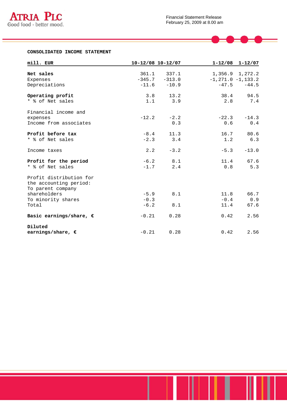

 $\bullet$  –  $\bullet$  –

## **CONSOLIDATED INCOME STATEMENT**

| mill. EUR                        |          | 10-12/08 10-12/07 |         | $1 - 12/08$ $1 - 12/07$ |
|----------------------------------|----------|-------------------|---------|-------------------------|
|                                  |          |                   |         |                         |
| Net sales                        | 361.1    | 337.1             |         | $1,356.9$ $1,272.2$     |
| Expenses                         | $-345.7$ | $-313.0$          |         | $-1, 271.0 -1, 133.2$   |
| Depreciations                    | $-11.6$  | $-10.9$           | $-47.5$ | $-44.5$                 |
| Operating profit                 | 3.8      | 13.2              | 38.4    | 94.5                    |
| * % of Net sales                 | 1.1      | 3.9               | 2.8     | 7.4                     |
| Financial income and             |          |                   |         |                         |
| expenses                         | $-12.2$  | $-2.2$            | $-22.3$ | $-14.3$                 |
| Income from associates           |          | 0.3               | 0.6     | 0.4                     |
| Profit before tax                | $-8.4$   | 11.3              | 16.7    | 80.6                    |
| * % of Net sales                 | $-2.3$   | 3.4               | 1.2     | 6.3                     |
| Income taxes                     | 2.2      | $-3.2$            | $-5.3$  | $-13.0$                 |
|                                  |          |                   |         |                         |
| Profit for the period            | $-6.2$   | 8.1               | 11.4    | 67.6                    |
| * % of Net sales                 | $-1.7$   | 2.4               | 0.8     | 5.3                     |
| Profit distribution for          |          |                   |         |                         |
| the accounting period:           |          |                   |         |                         |
| To parent company                |          |                   |         |                         |
| shareholders                     | $-5.9$   | 8.1               | 11.8    | 66.7                    |
| To minority shares               | $-0.3$   |                   | $-0.4$  | 0.9                     |
| Total                            | $-6.2$   | 8.1               | 11.4    | 67.6                    |
| Basic earnings/share, $\epsilon$ | $-0.21$  | 0.28              | 0.42    | 2.56                    |
| Diluted                          |          |                   |         |                         |
| earnings/share, $\epsilon$       | $-0.21$  | 0.28              | 0.42    | 2.56                    |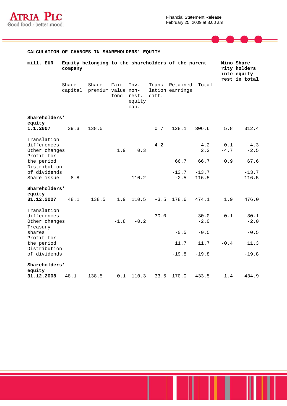

 $\blacksquare$ 

## **CALCULATION OF CHANGES IN SHAREHOLDERS' EQUITY**

| mill. EUR                                                 | company |                                     |              |                                 |                | Equity belonging to the shareholders of the parent |                   | Mino Share<br>inte equity | rity holders<br>rest in total |
|-----------------------------------------------------------|---------|-------------------------------------|--------------|---------------------------------|----------------|----------------------------------------------------|-------------------|---------------------------|-------------------------------|
|                                                           | Share   | Share<br>capital premium value non- | Fair<br>fond | Inv.<br>rest.<br>equity<br>cap. | Trans<br>diff. | Retained<br>lation earnings                        | Total             |                           |                               |
| Shareholders'                                             |         |                                     |              |                                 |                |                                                    |                   |                           |                               |
| equity<br>1.1.2007                                        | 39.3    | 138.5                               |              |                                 | 0.7            | 128.1                                              | 306.6             | 5.8                       | 312.4                         |
| Translation<br>differences<br>Other changes<br>Profit for |         |                                     | 1.9          | 0.3                             | $-4.2$         |                                                    | $-4.2$<br>2.2     | $-0.1$<br>$-4.7$          | $-4.3$<br>$-2.5$              |
| the period<br>Distribution                                |         |                                     |              |                                 |                | 66.7                                               | 66.7              | 0.9                       | 67.6                          |
| of dividends<br>Share issue                               | 8.8     |                                     |              | 110.2                           |                | $-13.7$<br>$-2.5$                                  | $-13.7$<br>116.5  |                           | $-13.7$<br>116.5              |
| Shareholders'                                             |         |                                     |              |                                 |                |                                                    |                   |                           |                               |
| equity<br>31.12.2007                                      | 48.1    | 138.5                               | 1.9          | 110.5                           | $-3.5$         | 178.6                                              | 474.1             | 1.9                       | 476.0                         |
| Translation<br>differences<br>Other changes               |         |                                     | $-1.8$       | $-0.2$                          | $-30.0$        |                                                    | $-30.0$<br>$-2.0$ | $-0.1$                    | $-30.1$<br>$-2.0$             |
| Treasury<br>shares                                        |         |                                     |              |                                 |                | $-0.5$                                             | $-0.5$            |                           | $-0.5$                        |
| Profit for<br>the period                                  |         |                                     |              |                                 |                | 11.7                                               | 11.7              | $-0.4$                    | 11.3                          |
| Distribution<br>of dividends                              |         |                                     |              |                                 |                | $-19.8$                                            | $-19.8$           |                           | $-19.8$                       |
| Shareholders'                                             |         |                                     |              |                                 |                |                                                    |                   |                           |                               |
| equity<br>31.12.2008                                      | 48.1    | 138.5                               | 0.1          | 110.3                           | $-33.5$        | 170.0                                              | 433.5             | 1.4                       | 434.9                         |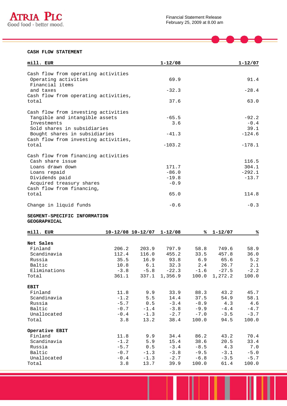

 $\overline{\phantom{a}}$ 

#### **CASH FLOW STATEMENT**

| mill. EUR                            | $1 - 12/08$ | $1 - 12/07$ |
|--------------------------------------|-------------|-------------|
|                                      |             |             |
| Cash flow from operating activities  |             |             |
| Operating activities                 | 69.9        | 91.4        |
| Financial items<br>and taxes         | $-32.3$     | $-28.4$     |
| Cash flow from operating activities, |             |             |
| total                                | 37.6        | 63.0        |
|                                      |             |             |
| Cash flow from investing activities  |             |             |
| Tangible and intangible assets       | $-65.5$     | $-92.2$     |
| Investments                          | 3.6         | $-0.4$      |
| Sold shares in subsidiaries          |             | 39.1        |
| Bought shares in subsidiaries        | $-41.3$     | $-124.6$    |
| Cash flow from investing activities, |             |             |
| total                                | $-103.2$    | $-178.1$    |
| Cash flow from financing activities  |             |             |
| Cash share issue                     |             | 116.5       |
| Loans drawn down                     | 171.7       | 304.1       |
| Loans repaid                         | $-86.0$     | $-292.1$    |
| Dividends paid                       | $-19.8$     | $-13.7$     |
| Acquired treasury shares             | $-0.9$      |             |
| Cash flow from financing,            |             |             |
| total                                | 65.0        | 114.8       |
| Change in liquid funds               | $-0.6$      | $-0.3$      |

#### **SEGMENT-SPECIFIC INFORMATION GEOGRAPHICAL**

| mill. EUR      |        | 10-12/08 10-12/07 | $1 - 12/08$   | %ะ     | $1 - 12/07$ | %      |
|----------------|--------|-------------------|---------------|--------|-------------|--------|
|                |        |                   |               |        |             |        |
| Net Sales      |        |                   |               |        |             |        |
| Finland        | 206.2  | 203.9             | 797.9         | 58.8   | 749.6       | 58.9   |
| Scandinavia    | 112.4  | 116.0             | 455.2         | 33.5   | 457.8       | 36.0   |
| Russia         | 35.5   | 16.9              | 93.8          | 6.9    | 65.6        | 5.2    |
| Baltic         | 10.8   | 6.1               | 32.3          | 2.4    | 26.7        | 2.1    |
| Eliminations   | $-3.8$ | $-5.8$            | $-22.3$       | $-1.6$ | $-27.5$     | $-2.2$ |
| Total          | 361.1  |                   | 337.1 1,356.9 | 100.0  | 1,272.2     | 100.0  |
| <b>EBIT</b>    |        |                   |               |        |             |        |
| Finland        | 11.8   | 9.9               | 33.9          | 88.3   | 43.2        | 45.7   |
| Scandinavia    | $-1.2$ | 5.5               | 14.4          | 37.5   | 54.9        | 58.1   |
| Russia         | $-5.7$ | 0.5               | $-3.4$        | $-8.9$ | 4.3         | 4.6    |
| Baltic         | $-0.7$ | $-1.4$            | $-3.8$        | $-9.9$ | $-4.4$      | $-4.7$ |
| Unallocated    | $-0.4$ | $-1.3$            | $-2.7$        | $-7.0$ | $-3.5$      | $-3.7$ |
| Total          | 3.8    | 13.2              | 38.4          | 100.0  | 94.5        | 100.0  |
| Operative EBIT |        |                   |               |        |             |        |
| Finland        | 11.8   | 9.9               | 34.4          | 86.2   | 43.2        | 70.4   |
| Scandinavia    | $-1.2$ | 5.9               | 15.4          | 38.6   | 20.5        | 33.4   |
| Russia         | $-5.7$ | 0.5               | $-3.4$        | $-8.5$ | 4.3         | 7.0    |
| Baltic         | $-0.7$ | $-1.3$            | $-3.8$        | $-9.5$ | $-3.1$      | $-5.0$ |
| Unallocated    | $-0.4$ | $-1.3$            | $-2.7$        | $-6.8$ | $-3.5$      | $-5.7$ |
| Total          | 3.8    | 13.7              | 39.9          | 100.0  | 61.4        | 100.0  |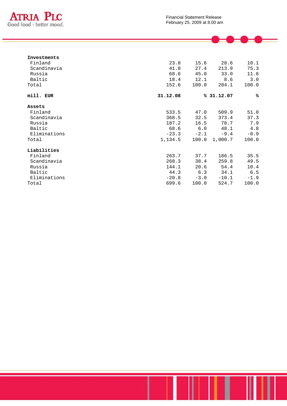

 $\bullet$   $\bullet$   $\hspace{0.1cm}$   $\hspace{0.1cm}$   $\hspace{0.1cm}$   $\hspace{0.1cm}$   $\hspace{0.1cm}$   $\hspace{0.1cm}$   $\hspace{0.1cm}$   $\hspace{0.1cm}$   $\hspace{0.1cm}$   $\hspace{0.1cm}$   $\hspace{0.1cm}$   $\hspace{0.1cm}$   $\hspace{0.1cm}$   $\hspace{0.1cm}$   $\hspace{0.1cm}$   $\hspace{0.1cm}$   $\hspace{0.1cm}$   $\hspace{0.$ 

Ė

| Investments  |          |        |           |        |
|--------------|----------|--------|-----------|--------|
| Finland      | 23.8     | 15.6   | 28.6      | 10.1   |
| Scandinavia  | 41.8     | 27.4   | 213.9     | 75.3   |
| Russia       | 68.6     | 45.0   | 33.0      | 11.6   |
| Baltic       | 18.4     | 12.1   | 8.6       | 3.0    |
| Total        | 152.6    | 100.0  | 284.1     | 100.0  |
| mill. EUR    | 31.12.08 |        | 831.12.07 | ℁      |
| Assets       |          |        |           |        |
| Finland      | 533.5    | 47.0   | 509.9     | 51.0   |
| Scandinavia  | 368.5    | 32.5   | 373.4     | 37.3   |
| Russia       | 187.2    | 16.5   | 78.7      | 7.9    |
| Baltic       | 68.6     | 6.0    | 48.1      | 4.8    |
| Eliminations | $-23.3$  | $-2.1$ | $-9.4$    | $-0.9$ |
| Total        | 1,134.5  | 100.0  | 1,000.7   | 100.0  |
| Liabilities  |          |        |           |        |
| Finland      | 263.7    | 37.7   | 186.5     | 35.5   |
| Scandinavia  | 268.3    | 38.4   | 259.8     | 49.5   |
| Russia       | 144.1    | 20.6   | 54.4      | 10.4   |
| Baltic       | 44.3     | 6.3    | 34.1      | 6.5    |
| Eliminations | $-20.8$  | $-3.0$ | $-10.1$   | $-1.9$ |
| Total        | 699.6    | 100.0  | 524.7     | 100.0  |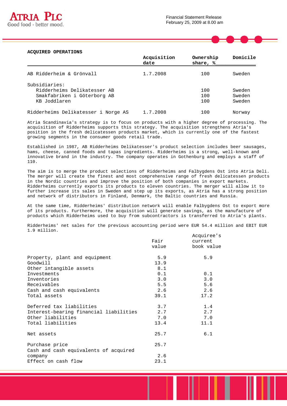

#### **ACQUIRED OPERATIONS**

|                                     | Acquisition<br>date | Ownership<br>share, % | Domicile |
|-------------------------------------|---------------------|-----------------------|----------|
| AB Ridderheim & Grönvall            | 1.7.2008            | 100                   | Sweden   |
| Subsidiaries:                       |                     |                       |          |
| Ridderheims Delikatesser AB         |                     | 100                   | Sweden   |
| Smakfabriken i Göterborg AB         |                     | 100                   | Sweden   |
| KB Joddlaren                        |                     | 100                   | Sweden   |
| Ridderheims Delikatesser i Norge AS | 1.7.2008            | 100                   | Norway   |

Atria Scandinavia's strategy is to focus on products with a higher degree of processing. The acquisition of Ridderheims supports this strategy. The acquisition strengthens Atria's position in the fresh delicatessen products market, which is currently one of the fastest growing segments in the consumer goods retail trade.

Established in 1987, AB Ridderheims Delikatesser's product selection includes beer sausages, hams, cheese, canned foods and tapas ingredients. Ridderheims is a strong, well-known and innovative brand in the industry. The company operates in Gothenburg and employs a staff of 110.

The aim is to merge the product selections of Ridderheims and Falbygdens Ost into Atria Deli. The merger will create the finest and most comprehensive range of fresh delicatessen products in the Nordic countries and improve the position of both companies in export markets. Ridderheims currently exports its products to eleven countries. The merger will allow it to further increase its sales in Sweden and step up its exports, as Atria has a strong position and network of distributors in Finland, Denmark, the Baltic countries and Russia.

At the same time, Ridderheims' distribution network will enable Falbygdens Ost to export more of its products. Furthermore, the acquisition will generate savings, as the manufacture of products which Ridderheims used to buy from subcontractors is transferred to Atria's plants.

Ridderheims' net sales for the previous accounting period were EUR 54.4 million and EBIT EUR 1.9 million.

|                                                         | Fair  | Acquiree's<br>current |
|---------------------------------------------------------|-------|-----------------------|
|                                                         | value | book value            |
| Property, plant and equipment                           | 5.9   | 5.9                   |
| Goodwill                                                | 13.9  |                       |
| Other intangible assets                                 | 8.1   |                       |
| Investments                                             | 0.1   | 0.1                   |
| Inventories                                             | 3.0   | 3.0                   |
| Receivables                                             | 5.5   | 5.6                   |
| Cash and cash equivalents                               | 2.6   | 2.6                   |
| Total assets                                            | 39.1  | 17.2                  |
| Deferred tax liabilities                                | 3.7   | 1.4                   |
| Interest-bearing financial liabilities                  | 2.7   | 2.7                   |
| Other liabilities                                       | 7.0   | 7.0                   |
| Total liabilities                                       | 13.4  | 11.1                  |
| Net assets                                              | 25.7  | 6.1                   |
| Purchase price<br>Cash and cash equivalents of acquired | 25.7  |                       |
| company                                                 | 2.6   |                       |
| Effect on cash flow                                     | 23.1  |                       |
|                                                         |       |                       |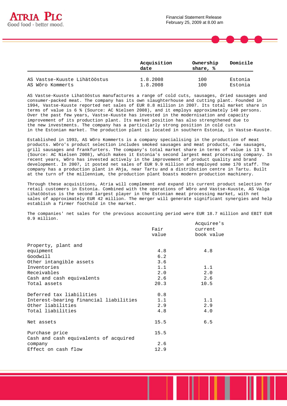



|                              | Acquisition<br>date | Ownership<br>share, % | Domicile |
|------------------------------|---------------------|-----------------------|----------|
| AS Vastse-Kuuste Lihätööstus | 1.8.2008            | 100                   | Estonia  |
| AS Wõro Kommerts             | 1.8.2008            | 100                   | Estonia  |

AS Vastse-Kuuste Lihatööstus manufactures a range of cold cuts, sausages, dried sausages and consumer-packed meat. The company has its own slaughterhouse and cutting plant. Founded in 1994, Vastse-Kuuste reported net sales of EUR 8.8 million in 2007. Its total market share in terms of value is 6 % (Source: AC Nielsen 2008), and it employs approximately 140 persons. Over the past few years, Vastse-Kuuste has invested in the modernisation and capacity improvement of its production plant. Its market position has also strengthened due to the new investments. The company has a particularly strong position in cold cuts in the Estonian market. The production plant is located in southern Estonia, in Vastse-Kuuste.

Established in 1993, AS Wõro Kommerts is a company specialising in the production of meat products. Wõro's product selection includes smoked sausages and meat products, raw sausages, grill sausages and frankfurters. The company's total market share in terms of value is 13 % (Source: AC Nielsen 2008), which makes it Estonia's second largest meat processing company. In recent years, Wõro has invested actively in the improvement of product quality and brand development. In 2007, it posted net sales of EUR 9.9 million and employed some 170 staff. The company has a production plant in Ahja, near Tartu and a distribution centre in Tartu. Built at the turn of the millennium, the production plant boasts modern production machinery.

Through these acquisitions, Atria will complement and expand its current product selection for retail customers in Estonia. Combined with the operations of Wõro and Vastse-Kuuste, AS Valga Lihatööstus is the second largest player in the Estonian meat processing market, with net sales of approximately EUR 42 million. The merger will generate significant synergies and help establish a firmer foothold in the market.

The companies' net sales for the previous accounting period were EUR 18.7 million and EBIT EUR 0.9 million.

|                                        |       | Acquiree's |
|----------------------------------------|-------|------------|
|                                        | Fair  | current    |
|                                        | value | book value |
| Property, plant and                    |       |            |
| equipment                              | 4.8   | 4.8        |
| Goodwill                               | 6.2   |            |
| Other intangible assets                | 3.6   |            |
| Inventories                            | 1.1   | 1.1        |
| Receivables                            | 2.0   | 2.0        |
| Cash and cash equivalents              | 2.6   | 2.6        |
| Total assets                           | 20.3  | 10.5       |
| Deferred tax liabilities               | 0.8   |            |
| Interest-bearing financial liabilities | 1.1   | 1.1        |
| Other liabilities                      | 2.9   | 2.9        |
| Total liabilities                      | 4.8   | 4.0        |
| Net assets                             | 15.5  | 6.5        |
| Purchase price                         | 15.5  |            |
| Cash and cash equivalents of acquired  |       |            |
| company                                | 2.6   |            |
| Effect on cash flow                    | 12.9  |            |
|                                        |       |            |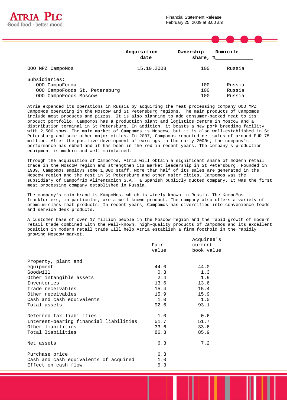



Atria expanded its operations in Russia by acquiring the meat processing company OOO MPZ CampoMos operating in the Moscow and St Petersburg regions. The main products of Campomos include meat products and pizzas. It is also planning to add consumer-packed meat to its product portfolio. Campomos has a production plant and logistics centre in Moscow and a distribution terminal in St Petersburg. In addition, it boasts a new pork breeding facility with 2,500 sows. The main market of Campomos is Moscow, but it is also well-established in St Petersburg and some other major cities. In 2007, Campomos reported net sales of around EUR 75 million. After the positive development of earnings in the early 2000s, the company's performance has ebbed and it has been in the red in recent years. The company's production equipment is modern and well maintained.

Through the acquisition of Campomos, Atria will obtain a significant share of modern retail trade in the Moscow region and strengthen its market leadership in St Petersburg. Founded in 1989, Campomos employs some 1,000 staff. More than half of its sales are generated in the Moscow region and the rest in St Petersburg and other major cities. Campomos was the subsidiary of Campofrio Alimentacion S.A., a Spanish publicly quoted company. It was the first meat processing company established in Russia.

The company's main brand is KampoMos, which is widely known in Russia. The KampoMos frankfurters, in particular, are a well-known product. The company also offers a variety of premium-class meat products. In recent years, Campomos has diversified into convenience foods and service desk products.

A customer base of over 17 million people in the Moscow region and the rapid growth of modern retail trade combined with the well-known, high-quality products of Campomos and its excellent position in modern retail trade will help Atria establish a firm foothold in the rapidly growing Moscow market.

|                                        |       | Acquiree's |
|----------------------------------------|-------|------------|
|                                        | Fair  | current    |
|                                        | value | book value |
| Property, plant and                    |       |            |
| equipment                              | 44.0  | 44.0       |
| Goodwill                               | 0.3   | 1.3        |
| Other intangible assets                | 2.4   | 1.9        |
| Inventories                            | 13.6  | 13.6       |
| Trade receivables                      | 15.4  | 15.4       |
| Other receivables                      | 15.9  | 15.9       |
| Cash and cash equivalents              | 1.0   | 1.0        |
| Total assets                           | 92.6  | 93.1       |
| Deferred tax liabilities               | 1.0   | 0.6        |
| Interest-bearing financial liabilities | 51.7  | 51.7       |
| Other liabilities                      | 33.6  | 33.6       |
| Total liabilities                      | 86.3  | 85.9       |
| Net assets                             | 6.3   | 7.2        |
| Purchase price                         | 6.3   |            |
| Cash and cash equivalents of acquired  | 1.0   |            |
| Effect on cash flow                    | 5.3   |            |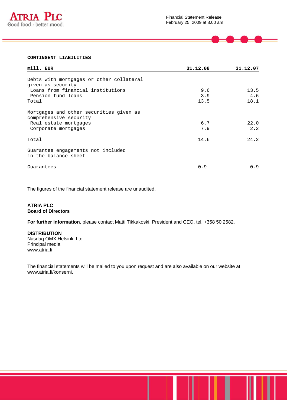

| mill. EUR                                                                                                                         | 31.12.08           | 31.12.07            |
|-----------------------------------------------------------------------------------------------------------------------------------|--------------------|---------------------|
| Debts with mortgages or other collateral<br>given as security<br>Loans from financial institutions<br>Pension fund loans<br>Total | 9.6<br>3.9<br>13.5 | 13.5<br>4.6<br>18.1 |
| Mortgages and other securities given as<br>comprehensive security<br>Real estate mortgages<br>Corporate mortgages                 | 6.7<br>7.9         | 22.0<br>2.2         |
| Total                                                                                                                             | 14.6               | 24.2                |
| Guarantee engagements not included<br>in the balance sheet                                                                        |                    |                     |
| Guarantees                                                                                                                        | 0.9                | 0.9                 |

The figures of the financial statement release are unaudited.

# **ATRIA PLC Board of Directors**

**For further information**, please contact Matti Tikkakoski, President and CEO, tel. +358 50 2582.

#### **DISTRIBUTION**

Nasdaq OMX Helsinki Ltd Principal media www.atria.fi

The financial statements will be mailed to you upon request and are also available on our website at www.atria.fi/konserni.